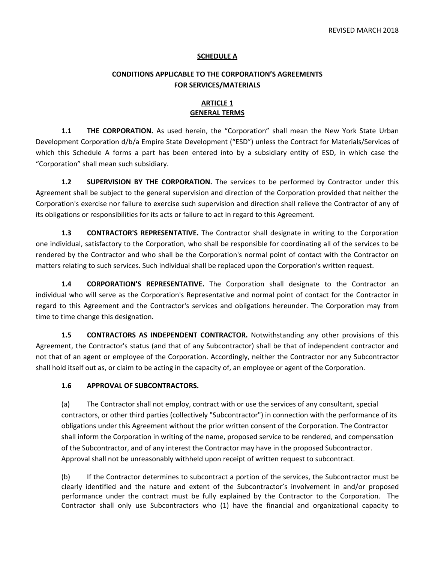#### **SCHEDULE A**

#### **CONDITIONS APPLICABLE TO THE CORPORATION'S AGREEMENTS FOR SERVICES/MATERIALS**

#### **ARTICLE 1 GENERAL TERMS**

**1.1 THE CORPORATION.** As used herein, the "Corporation" shall mean the New York State Urban Development Corporation d/b/a Empire State Development ("ESD") unless the Contract for Materials/Services of which this Schedule A forms a part has been entered into by a subsidiary entity of ESD, in which case the "Corporation" shall mean such subsidiary.

**1.2 SUPERVISION BY THE CORPORATION.** The services to be performed by Contractor under this Agreement shall be subject to the general supervision and direction of the Corporation provided that neither the Corporation's exercise nor failure to exercise such supervision and direction shall relieve the Contractor of any of its obligations or responsibilities for its acts or failure to act in regard to this Agreement.

**1.3 CONTRACTOR'S REPRESENTATIVE.** The Contractor shall designate in writing to the Corporation one individual, satisfactory to the Corporation, who shall be responsible for coordinating all of the services to be rendered by the Contractor and who shall be the Corporation's normal point of contact with the Contractor on matters relating to such services. Such individual shall be replaced upon the Corporation's written request.

**1.4 CORPORATION'S REPRESENTATIVE.** The Corporation shall designate to the Contractor an individual who will serve as the Corporation's Representative and normal point of contact for the Contractor in regard to this Agreement and the Contractor's services and obligations hereunder. The Corporation may from time to time change this designation.

**1.5 CONTRACTORS AS INDEPENDENT CONTRACTOR.** Notwithstanding any other provisions of this Agreement, the Contractor's status (and that of any Subcontractor) shall be that of independent contractor and not that of an agent or employee of the Corporation. Accordingly, neither the Contractor nor any Subcontractor shall hold itself out as, or claim to be acting in the capacity of, an employee or agent of the Corporation.

#### **1.6 APPROVAL OF SUBCONTRACTORS.**

(a) The Contractor shall not employ, contract with or use the services of any consultant, special contractors, or other third parties (collectively "Subcontractor") in connection with the performance of its obligations under this Agreement without the prior written consent of the Corporation. The Contractor shall inform the Corporation in writing of the name, proposed service to be rendered, and compensation of the Subcontractor, and of any interest the Contractor may have in the proposed Subcontractor. Approval shall not be unreasonably withheld upon receipt of written request to subcontract.

(b) If the Contractor determines to subcontract a portion of the services, the Subcontractor must be clearly identified and the nature and extent of the Subcontractor's involvement in and/or proposed performance under the contract must be fully explained by the Contractor to the Corporation. The Contractor shall only use Subcontractors who (1) have the financial and organizational capacity to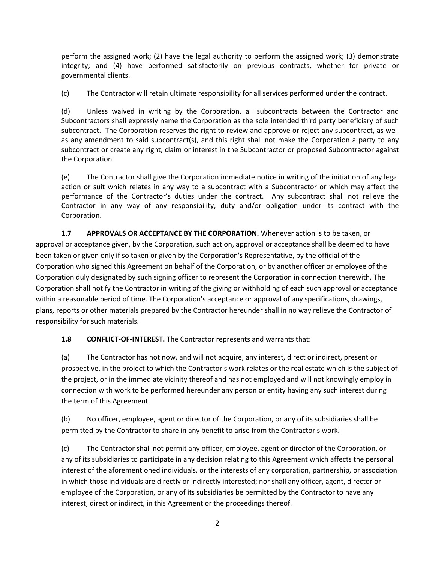perform the assigned work; (2) have the legal authority to perform the assigned work; (3) demonstrate integrity; and (4) have performed satisfactorily on previous contracts, whether for private or governmental clients.

(c) The Contractor will retain ultimate responsibility for all services performed under the contract.

(d) Unless waived in writing by the Corporation, all subcontracts between the Contractor and Subcontractors shall expressly name the Corporation as the sole intended third party beneficiary of such subcontract. The Corporation reserves the right to review and approve or reject any subcontract, as well as any amendment to said subcontract(s), and this right shall not make the Corporation a party to any subcontract or create any right, claim or interest in the Subcontractor or proposed Subcontractor against the Corporation.

(e) The Contractor shall give the Corporation immediate notice in writing of the initiation of any legal action or suit which relates in any way to a subcontract with a Subcontractor or which may affect the performance of the Contractor's duties under the contract. Any subcontract shall not relieve the Contractor in any way of any responsibility, duty and/or obligation under its contract with the Corporation.

**1.7 APPROVALS OR ACCEPTANCE BY THE CORPORATION.** Whenever action is to be taken, or approval or acceptance given, by the Corporation, such action, approval or acceptance shall be deemed to have been taken or given only if so taken or given by the Corporation's Representative, by the official of the Corporation who signed this Agreement on behalf of the Corporation, or by another officer or employee of the Corporation duly designated by such signing officer to represent the Corporation in connection therewith. The Corporation shall notify the Contractor in writing of the giving or withholding of each such approval or acceptance within a reasonable period of time. The Corporation's acceptance or approval of any specifications, drawings, plans, reports or other materials prepared by the Contractor hereunder shall in no way relieve the Contractor of responsibility for such materials.

**1.8 CONFLICT‐OF‐INTEREST.** The Contractor represents and warrants that:

(a) The Contractor has not now, and will not acquire, any interest, direct or indirect, present or prospective, in the project to which the Contractor's work relates or the real estate which is the subject of the project, or in the immediate vicinity thereof and has not employed and will not knowingly employ in connection with work to be performed hereunder any person or entity having any such interest during the term of this Agreement.

(b) No officer, employee, agent or director of the Corporation, or any of its subsidiaries shall be permitted by the Contractor to share in any benefit to arise from the Contractor's work.

(c) The Contractor shall not permit any officer, employee, agent or director of the Corporation, or any of its subsidiaries to participate in any decision relating to this Agreement which affects the personal interest of the aforementioned individuals, or the interests of any corporation, partnership, or association in which those individuals are directly or indirectly interested; nor shall any officer, agent, director or employee of the Corporation, or any of its subsidiaries be permitted by the Contractor to have any interest, direct or indirect, in this Agreement or the proceedings thereof.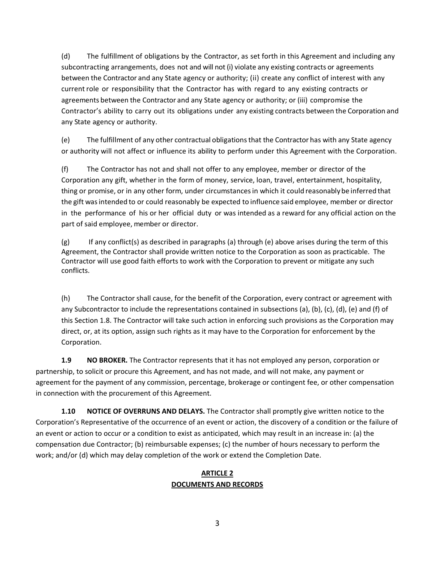(d) The fulfillment of obligations by the Contractor, as set forth in this Agreement and including any subcontracting arrangements, does not and will not (i) violate any existing contracts or agreements between the Contractor and any State agency or authority; (ii) create any conflict of interest with any current role or responsibility that the Contractor has with regard to any existing contracts or agreements between the Contractor and any State agency or authority; or (iii) compromise the Contractor's ability to carry out its obligations under any existing contracts between the Corporation and any State agency or authority.

(e) The fulfillment of any other contractual obligationsthat the Contractor has with any State agency or authority will not affect or influence its ability to perform under this Agreement with the Corporation.

(f) The Contractor has not and shall not offer to any employee, member or director of the Corporation any gift, whether in the form of money, service, loan, travel, entertainment, hospitality, thing or promise, or in any other form, under circumstancesin which it could reasonably be inferred that the gift wasintended to or could reasonably be expected to influence said employee, member or director in the performance of his or her official duty or was intended as a reward for any official action on the part of said employee, member or director.

(g) If any conflict(s) as described in paragraphs (a) through (e) above arises during the term of this Agreement, the Contractor shall provide written notice to the Corporation as soon as practicable. The Contractor will use good faith efforts to work with the Corporation to prevent or mitigate any such conflicts.

(h) The Contractor shall cause, for the benefit of the Corporation, every contract or agreement with any Subcontractor to include the representations contained in subsections (a), (b), (c), (d), (e) and (f) of this Section 1.8. The Contractor will take such action in enforcing such provisions as the Corporation may direct, or, at its option, assign such rights as it may have to the Corporation for enforcement by the Corporation.

**1.9 NO BROKER.** The Contractor represents that it has not employed any person, corporation or partnership, to solicit or procure this Agreement, and has not made, and will not make, any payment or agreement for the payment of any commission, percentage, brokerage or contingent fee, or other compensation in connection with the procurement of this Agreement.

**1.10 NOTICE OF OVERRUNS AND DELAYS.** The Contractor shall promptly give written notice to the Corporation's Representative of the occurrence of an event or action, the discovery of a condition or the failure of an event or action to occur or a condition to exist as anticipated, which may result in an increase in: (a) the compensation due Contractor; (b) reimbursable expenses; (c) the number of hours necessary to perform the work; and/or (d) which may delay completion of the work or extend the Completion Date.

### **ARTICLE 2 DOCUMENTS AND RECORDS**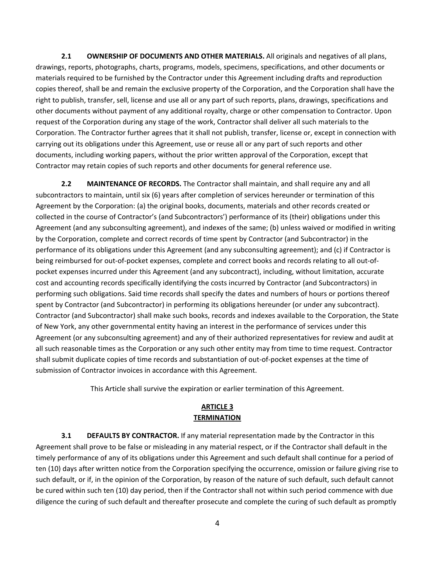**2.1 OWNERSHIP OF DOCUMENTS AND OTHER MATERIALS.** All originals and negatives of all plans, drawings, reports, photographs, charts, programs, models, specimens, specifications, and other documents or materials required to be furnished by the Contractor under this Agreement including drafts and reproduction copies thereof, shall be and remain the exclusive property of the Corporation, and the Corporation shall have the right to publish, transfer, sell, license and use all or any part of such reports, plans, drawings, specifications and other documents without payment of any additional royalty, charge or other compensation to Contractor. Upon request of the Corporation during any stage of the work, Contractor shall deliver all such materials to the Corporation. The Contractor further agrees that it shall not publish, transfer, license or, except in connection with carrying out its obligations under this Agreement, use or reuse all or any part of such reports and other documents, including working papers, without the prior written approval of the Corporation, except that Contractor may retain copies of such reports and other documents for general reference use.

**2.2 MAINTENANCE OF RECORDS.** The Contractor shall maintain, and shall require any and all subcontractors to maintain, until six (6) years after completion of services hereunder or termination of this Agreement by the Corporation: (a) the original books, documents, materials and other records created or collected in the course of Contractor's (and Subcontractors') performance of its (their) obligations under this Agreement (and any subconsulting agreement), and indexes of the same; (b) unless waived or modified in writing by the Corporation, complete and correct records of time spent by Contractor (and Subcontractor) in the performance of its obligations under this Agreement (and any subconsulting agreement); and (c) if Contractor is being reimbursed for out‐of‐pocket expenses, complete and correct books and records relating to all out‐of‐ pocket expenses incurred under this Agreement (and any subcontract), including, without limitation, accurate cost and accounting records specifically identifying the costs incurred by Contractor (and Subcontractors) in performing such obligations. Said time records shall specify the dates and numbers of hours or portions thereof spent by Contractor (and Subcontractor) in performing its obligations hereunder (or under any subcontract). Contractor (and Subcontractor) shall make such books, records and indexes available to the Corporation, the State of New York, any other governmental entity having an interest in the performance of services under this Agreement (or any subconsulting agreement) and any of their authorized representatives for review and audit at all such reasonable times as the Corporation or any such other entity may from time to time request. Contractor shall submit duplicate copies of time records and substantiation of out‐of‐pocket expenses at the time of submission of Contractor invoices in accordance with this Agreement.

This Article shall survive the expiration or earlier termination of this Agreement.

### **ARTICLE 3 TERMINATION**

**3.1 DEFAULTS BY CONTRACTOR.** If any material representation made by the Contractor in this Agreement shall prove to be false or misleading in any material respect, or if the Contractor shall default in the timely performance of any of its obligations under this Agreement and such default shall continue for a period of ten (10) days after written notice from the Corporation specifying the occurrence, omission or failure giving rise to such default, or if, in the opinion of the Corporation, by reason of the nature of such default, such default cannot be cured within such ten (10) day period, then if the Contractor shall not within such period commence with due diligence the curing of such default and thereafter prosecute and complete the curing of such default as promptly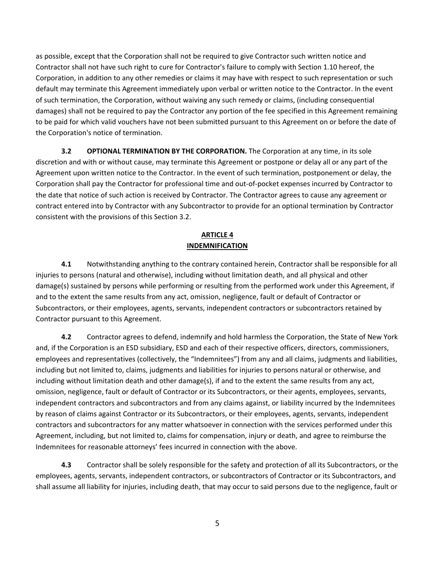as possible, except that the Corporation shall not be required to give Contractor such written notice and Contractor shall not have such right to cure for Contractor's failure to comply with Section 1.10 hereof, the Corporation, in addition to any other remedies or claims it may have with respect to such representation or such default may terminate this Agreement immediately upon verbal or written notice to the Contractor. In the event of such termination, the Corporation, without waiving any such remedy or claims, (including consequential damages) shall not be required to pay the Contractor any portion of the fee specified in this Agreement remaining to be paid for which valid vouchers have not been submitted pursuant to this Agreement on or before the date of the Corporation's notice of termination.

**3.2 OPTIONAL TERMINATION BY THE CORPORATION.** The Corporation at any time, in its sole discretion and with or without cause, may terminate this Agreement or postpone or delay all or any part of the Agreement upon written notice to the Contractor. In the event of such termination, postponement or delay, the Corporation shall pay the Contractor for professional time and out‐of‐pocket expenses incurred by Contractor to the date that notice of such action is received by Contractor. The Contractor agrees to cause any agreement or contract entered into by Contractor with any Subcontractor to provide for an optional termination by Contractor consistent with the provisions of this Section 3.2.

## **ARTICLE 4 INDEMNIFICATION**

**4.1** Notwithstanding anything to the contrary contained herein, Contractor shall be responsible for all injuries to persons (natural and otherwise), including without limitation death, and all physical and other damage(s) sustained by persons while performing or resulting from the performed work under this Agreement, if and to the extent the same results from any act, omission, negligence, fault or default of Contractor or Subcontractors, or their employees, agents, servants, independent contractors or subcontractors retained by Contractor pursuant to this Agreement.

**4.2** Contractor agrees to defend, indemnify and hold harmless the Corporation, the State of New York and, if the Corporation is an ESD subsidiary, ESD and each of their respective officers, directors, commissioners, employees and representatives (collectively, the "Indemnitees") from any and all claims, judgments and liabilities, including but not limited to, claims, judgments and liabilities for injuries to persons natural or otherwise, and including without limitation death and other damage(s), if and to the extent the same results from any act, omission, negligence, fault or default of Contractor or its Subcontractors, or their agents, employees, servants, independent contractors and subcontractors and from any claims against, or liability incurred by the Indemnitees by reason of claims against Contractor or its Subcontractors, or their employees, agents, servants, independent contractors and subcontractors for any matter whatsoever in connection with the services performed under this Agreement, including, but not limited to, claims for compensation, injury or death, and agree to reimburse the Indemnitees for reasonable attorneys' fees incurred in connection with the above.

**4.3** Contractor shall be solely responsible for the safety and protection of all its Subcontractors, or the employees, agents, servants, independent contractors, or subcontractors of Contractor or its Subcontractors, and shall assume all liability for injuries, including death, that may occur to said persons due to the negligence, fault or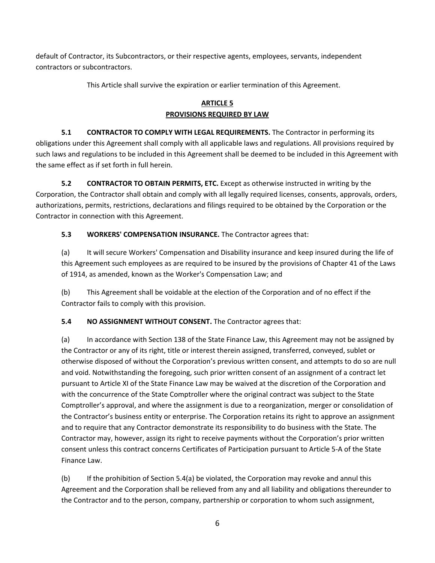default of Contractor, its Subcontractors, or their respective agents, employees, servants, independent contractors or subcontractors.

This Article shall survive the expiration or earlier termination of this Agreement.

# **ARTICLE 5 PROVISIONS REQUIRED BY LAW**

**5.1 CONTRACTOR TO COMPLY WITH LEGAL REQUIREMENTS.** The Contractor in performing its obligations under this Agreement shall comply with all applicable laws and regulations. All provisions required by such laws and regulations to be included in this Agreement shall be deemed to be included in this Agreement with the same effect as if set forth in full herein.

**5.2 CONTRACTOR TO OBTAIN PERMITS, ETC.** Except as otherwise instructed in writing by the Corporation, the Contractor shall obtain and comply with all legally required licenses, consents, approvals, orders, authorizations, permits, restrictions, declarations and filings required to be obtained by the Corporation or the Contractor in connection with this Agreement.

# **5.3 WORKERS' COMPENSATION INSURANCE.** The Contractor agrees that:

(a) It will secure Workers' Compensation and Disability insurance and keep insured during the life of this Agreement such employees as are required to be insured by the provisions of Chapter 41 of the Laws of 1914, as amended, known as the Worker's Compensation Law; and

(b) This Agreement shall be voidable at the election of the Corporation and of no effect if the Contractor fails to comply with this provision.

**5.4 NO ASSIGNMENT WITHOUT CONSENT.** The Contractor agrees that:

(a) In accordance with Section 138 of the State Finance Law, this Agreement may not be assigned by the Contractor or any of its right, title or interest therein assigned, transferred, conveyed, sublet or otherwise disposed of without the Corporation's previous written consent, and attempts to do so are null and void. Notwithstanding the foregoing, such prior written consent of an assignment of a contract let pursuant to Article XI of the State Finance Law may be waived at the discretion of the Corporation and with the concurrence of the State Comptroller where the original contract was subject to the State Comptroller's approval, and where the assignment is due to a reorganization, merger or consolidation of the Contractor's business entity or enterprise. The Corporation retains its right to approve an assignment and to require that any Contractor demonstrate its responsibility to do business with the State. The Contractor may, however, assign its right to receive payments without the Corporation's prior written consent unless this contract concerns Certificates of Participation pursuant to Article 5‐A of the State Finance Law.

(b) If the prohibition of Section 5.4(a) be violated, the Corporation may revoke and annul this Agreement and the Corporation shall be relieved from any and all liability and obligations thereunder to the Contractor and to the person, company, partnership or corporation to whom such assignment,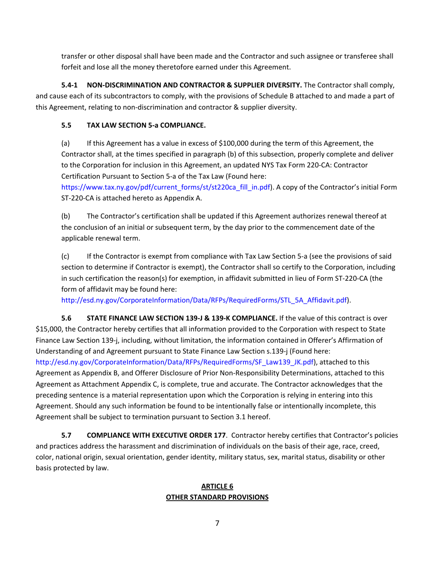transfer or other disposal shall have been made and the Contractor and such assignee or transferee shall forfeit and lose all the money theretofore earned under this Agreement.

**5.4‐1 NON‐DISCRIMINATION AND CONTRACTOR & SUPPLIER DIVERSITY.** The Contractor shall comply, and cause each of its subcontractors to comply, with the provisions of Schedule B attached to and made a part of this Agreement, relating to non‐discrimination and contractor & supplier diversity.

# **5.5 TAX LAW SECTION 5‐a COMPLIANCE.**

(a) If this Agreement has a value in excess of \$100,000 during the term of this Agreement, the Contractor shall, at the times specified in paragraph (b) of this subsection, properly complete and deliver to the Corporation for inclusion in this Agreement, an updated NYS Tax Form 220‐CA: Contractor Certification Pursuant to Section 5‐a of the Tax Law (Found here:

https://www.tax.ny.gov/pdf/current\_forms/st/st220ca\_fill\_in.pdf). A copy of the Contractor's initial Form ST‐220‐CA is attached hereto as Appendix A.

(b) The Contractor's certification shall be updated if this Agreement authorizes renewal thereof at the conclusion of an initial or subsequent term, by the day prior to the commencement date of the applicable renewal term.

(c) If the Contractor is exempt from compliance with Tax Law Section 5‐a (see the provisions of said section to determine if Contractor is exempt), the Contractor shall so certify to the Corporation, including in such certification the reason(s) for exemption, in affidavit submitted in lieu of Form ST‐220‐CA (the form of affidavit may be found here:

http://esd.ny.gov/CorporateInformation/Data/RFPs/RequiredForms/STL\_5A\_Affidavit.pdf).

**5.6 STATE FINANCE LAW SECTION 139‐J & 139‐K COMPLIANCE.** If the value of this contract is over \$15,000, the Contractor hereby certifies that all information provided to the Corporation with respect to State Finance Law Section 139‐j, including, without limitation, the information contained in Offerer's Affirmation of Understanding of and Agreement pursuant to State Finance Law Section s.139‐j (Found here: http://esd.ny.gov/CorporateInformation/Data/RFPs/RequiredForms/SF\_Law139\_JK.pdf), attached to this Agreement as Appendix B, and Offerer Disclosure of Prior Non‐Responsibility Determinations, attached to this Agreement as Attachment Appendix C, is complete, true and accurate. The Contractor acknowledges that the preceding sentence is a material representation upon which the Corporation is relying in entering into this Agreement. Should any such information be found to be intentionally false or intentionally incomplete, this Agreement shall be subject to termination pursuant to Section 3.1 hereof.

**5.7 COMPLIANCE WITH EXECUTIVE ORDER 177**. Contractor hereby certifies that Contractor's policies and practices address the harassment and discrimination of individuals on the basis of their age, race, creed, color, national origin, sexual orientation, gender identity, military status, sex, marital status, disability or other basis protected by law.

### **ARTICLE 6 OTHER STANDARD PROVISIONS**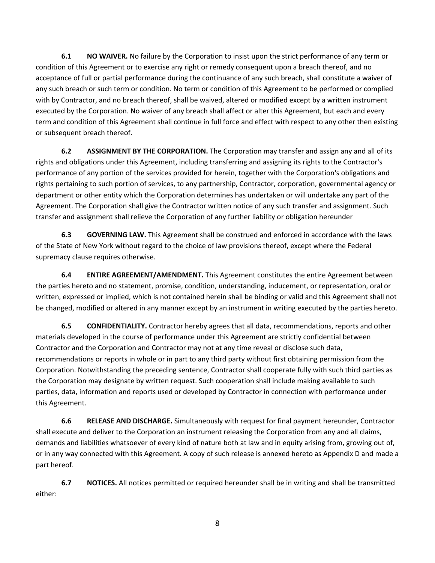**6.1 NO WAIVER.** No failure by the Corporation to insist upon the strict performance of any term or condition of this Agreement or to exercise any right or remedy consequent upon a breach thereof, and no acceptance of full or partial performance during the continuance of any such breach, shall constitute a waiver of any such breach or such term or condition. No term or condition of this Agreement to be performed or complied with by Contractor, and no breach thereof, shall be waived, altered or modified except by a written instrument executed by the Corporation. No waiver of any breach shall affect or alter this Agreement, but each and every term and condition of this Agreement shall continue in full force and effect with respect to any other then existing or subsequent breach thereof.

**6.2 ASSIGNMENT BY THE CORPORATION.** The Corporation may transfer and assign any and all of its rights and obligations under this Agreement, including transferring and assigning its rights to the Contractor's performance of any portion of the services provided for herein, together with the Corporation's obligations and rights pertaining to such portion of services, to any partnership, Contractor, corporation, governmental agency or department or other entity which the Corporation determines has undertaken or will undertake any part of the Agreement. The Corporation shall give the Contractor written notice of any such transfer and assignment. Such transfer and assignment shall relieve the Corporation of any further liability or obligation hereunder

**6.3 GOVERNING LAW.** This Agreement shall be construed and enforced in accordance with the laws of the State of New York without regard to the choice of law provisions thereof, except where the Federal supremacy clause requires otherwise.

**6.4 ENTIRE AGREEMENT/AMENDMENT.** This Agreement constitutes the entire Agreement between the parties hereto and no statement, promise, condition, understanding, inducement, or representation, oral or written, expressed or implied, which is not contained herein shall be binding or valid and this Agreement shall not be changed, modified or altered in any manner except by an instrument in writing executed by the parties hereto.

**6.5 CONFIDENTIALITY.** Contractor hereby agrees that all data, recommendations, reports and other materials developed in the course of performance under this Agreement are strictly confidential between Contractor and the Corporation and Contractor may not at any time reveal or disclose such data, recommendations or reports in whole or in part to any third party without first obtaining permission from the Corporation. Notwithstanding the preceding sentence, Contractor shall cooperate fully with such third parties as the Corporation may designate by written request. Such cooperation shall include making available to such parties, data, information and reports used or developed by Contractor in connection with performance under this Agreement.

**6.6 RELEASE AND DISCHARGE.** Simultaneously with request for final payment hereunder, Contractor shall execute and deliver to the Corporation an instrument releasing the Corporation from any and all claims, demands and liabilities whatsoever of every kind of nature both at law and in equity arising from, growing out of, or in any way connected with this Agreement. A copy of such release is annexed hereto as Appendix D and made a part hereof.

**6.7 NOTICES.** All notices permitted or required hereunder shall be in writing and shall be transmitted either:

8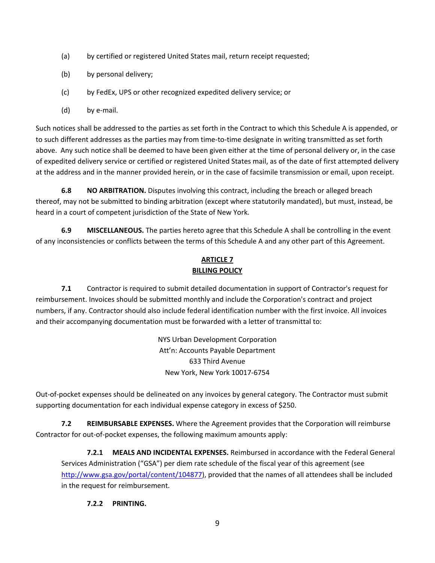- (a) by certified or registered United States mail, return receipt requested;
- (b) by personal delivery;
- (c) by FedEx, UPS or other recognized expedited delivery service; or
- (d) by e‐mail.

Such notices shall be addressed to the parties as set forth in the Contract to which this Schedule A is appended, or to such different addresses as the parties may from time‐to‐time designate in writing transmitted as set forth above. Any such notice shall be deemed to have been given either at the time of personal delivery or, in the case of expedited delivery service or certified or registered United States mail, as of the date of first attempted delivery at the address and in the manner provided herein, or in the case of facsimile transmission or email, upon receipt.

**6.8 NO ARBITRATION.** Disputes involving this contract, including the breach or alleged breach thereof, may not be submitted to binding arbitration (except where statutorily mandated), but must, instead, be heard in a court of competent jurisdiction of the State of New York.

**6.9 MISCELLANEOUS.** The parties hereto agree that this Schedule A shall be controlling in the event of any inconsistencies or conflicts between the terms of this Schedule A and any other part of this Agreement.

### **ARTICLE 7 BILLING POLICY**

**7.1** Contractor is required to submit detailed documentation in support of Contractor's request for reimbursement. Invoices should be submitted monthly and include the Corporation's contract and project numbers, if any. Contractor should also include federal identification number with the first invoice. All invoices and their accompanying documentation must be forwarded with a letter of transmittal to:

> NYS Urban Development Corporation Att'n: Accounts Payable Department 633 Third Avenue New York, New York 10017‐6754

Out‐of‐pocket expenses should be delineated on any invoices by general category. The Contractor must submit supporting documentation for each individual expense category in excess of \$250.

**7.2 REIMBURSABLE EXPENSES.** Where the Agreement provides that the Corporation will reimburse Contractor for out‐of‐pocket expenses, the following maximum amounts apply:

**7.2.1 MEALS AND INCIDENTAL EXPENSES.** Reimbursed in accordance with the Federal General Services Administration ("GSA") per diem rate schedule of the fiscal year of this agreement (see http://www.gsa.gov/portal/content/104877), provided that the names of all attendees shall be included in the request for reimbursement.

### **7.2.2 PRINTING.**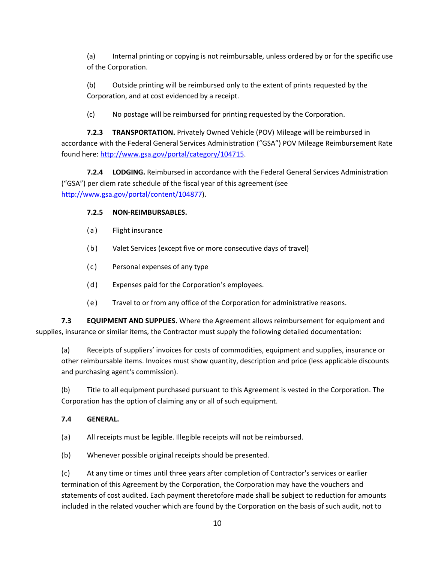(a) Internal printing or copying is not reimbursable, unless ordered by or for the specific use of the Corporation.

(b) Outside printing will be reimbursed only to the extent of prints requested by the Corporation, and at cost evidenced by a receipt.

(c) No postage will be reimbursed for printing requested by the Corporation.

**7.2.3 TRANSPORTATION.** Privately Owned Vehicle (POV) Mileage will be reimbursed in accordance with the Federal General Services Administration ("GSA") POV Mileage Reimbursement Rate found here: http://www.gsa.gov/portal/category/104715.

**7.2.4 LODGING.** Reimbursed in accordance with the Federal General Services Administration ("GSA") per diem rate schedule of the fiscal year of this agreement (see http://www.gsa.gov/portal/content/104877).

## **7.2.5 NON‐REIMBURSABLES.**

- (a) Flight insurance
- (b) Valet Services (except five or more consecutive days of travel)
- (c) Personal expenses of any type
- (d) Expenses paid for the Corporation's employees.
- (e) Travel to or from any office of the Corporation for administrative reasons.

**7.3 EQUIPMENT AND SUPPLIES.** Where the Agreement allows reimbursement for equipment and supplies, insurance or similar items, the Contractor must supply the following detailed documentation:

(a) Receipts of suppliers' invoices for costs of commodities, equipment and supplies, insurance or other reimbursable items. Invoices must show quantity, description and price (less applicable discounts and purchasing agent's commission).

(b) Title to all equipment purchased pursuant to this Agreement is vested in the Corporation. The Corporation has the option of claiming any or all of such equipment.

### **7.4 GENERAL.**

(a) All receipts must be legible. Illegible receipts will not be reimbursed.

(b) Whenever possible original receipts should be presented.

(c) At any time or times until three years after completion of Contractor's services or earlier termination of this Agreement by the Corporation, the Corporation may have the vouchers and statements of cost audited. Each payment theretofore made shall be subject to reduction for amounts included in the related voucher which are found by the Corporation on the basis of such audit, not to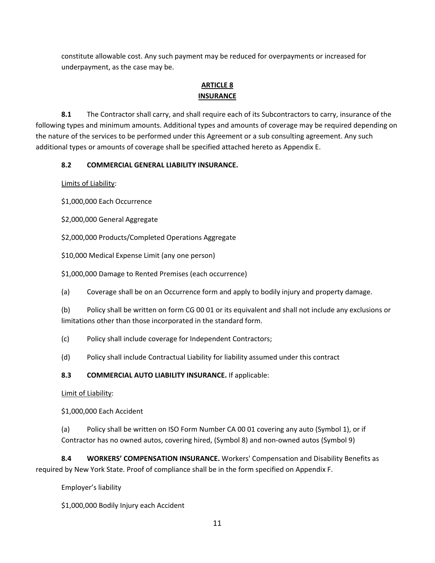constitute allowable cost. Any such payment may be reduced for overpayments or increased for underpayment, as the case may be.

### **ARTICLE 8 INSURANCE**

**8.1** The Contractor shall carry, and shall require each of its Subcontractors to carry, insurance of the following types and minimum amounts. Additional types and amounts of coverage may be required depending on the nature of the services to be performed under this Agreement or a sub consulting agreement. Any such additional types or amounts of coverage shall be specified attached hereto as Appendix E.

## **8.2 COMMERCIAL GENERAL LIABILITY INSURANCE.**

Limits of Liability:

\$1,000,000 Each Occurrence

\$2,000,000 General Aggregate

\$2,000,000 Products/Completed Operations Aggregate

\$10,000 Medical Expense Limit (any one person)

\$1,000,000 Damage to Rented Premises (each occurrence)

(a) Coverage shall be on an Occurrence form and apply to bodily injury and property damage.

(b) Policy shall be written on form CG 00 01 or its equivalent and shall not include any exclusions or limitations other than those incorporated in the standard form.

- (c) Policy shall include coverage for Independent Contractors;
- (d) Policy shall include Contractual Liability for liability assumed under this contract

# **8.3 COMMERCIAL AUTO LIABILITY INSURANCE.** If applicable:

Limit of Liability:

\$1,000,000 Each Accident

(a) Policy shall be written on ISO Form Number CA 00 01 covering any auto (Symbol 1), or if Contractor has no owned autos, covering hired, (Symbol 8) and non‐owned autos (Symbol 9)

**8.4 WORKERS' COMPENSATION INSURANCE.** Workers' Compensation and Disability Benefits as required by New York State. Proof of compliance shall be in the form specified on Appendix F.

Employer's liability

\$1,000,000 Bodily Injury each Accident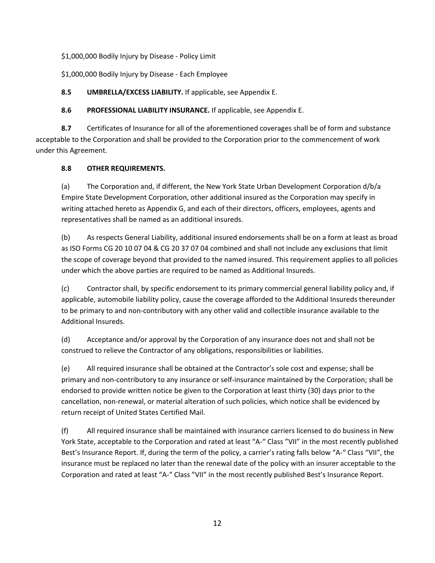\$1,000,000 Bodily Injury by Disease ‐ Policy Limit

\$1,000,000 Bodily Injury by Disease ‐ Each Employee

**8.5 UMBRELLA/EXCESS LIABILITY.** If applicable, see Appendix E.

**8.6 PROFESSIONAL LIABILITY INSURANCE.** If applicable, see Appendix E.

**8.7** Certificates of Insurance for all of the aforementioned coverages shall be of form and substance acceptable to the Corporation and shall be provided to the Corporation prior to the commencement of work under this Agreement.

## **8.8 OTHER REQUIREMENTS.**

(a) The Corporation and, if different, the New York State Urban Development Corporation d/b/a Empire State Development Corporation, other additional insured as the Corporation may specify in writing attached hereto as Appendix G, and each of their directors, officers, employees, agents and representatives shall be named as an additional insureds.

(b) As respects General Liability, additional insured endorsements shall be on a form at least as broad as ISO Forms CG 20 10 07 04 & CG 20 37 07 04 combined and shall not include any exclusions that limit the scope of coverage beyond that provided to the named insured. This requirement applies to all policies under which the above parties are required to be named as Additional Insureds.

(c) Contractor shall, by specific endorsement to its primary commercial general liability policy and, if applicable, automobile liability policy, cause the coverage afforded to the Additional Insureds thereunder to be primary to and non‐contributory with any other valid and collectible insurance available to the Additional Insureds.

(d) Acceptance and/or approval by the Corporation of any insurance does not and shall not be construed to relieve the Contractor of any obligations, responsibilities or liabilities.

(e) All required insurance shall be obtained at the Contractor's sole cost and expense; shall be primary and non‐contributory to any insurance or self‐insurance maintained by the Corporation; shall be endorsed to provide written notice be given to the Corporation at least thirty (30) days prior to the cancellation, non‐renewal, or material alteration of such policies, which notice shall be evidenced by return receipt of United States Certified Mail.

(f) All required insurance shall be maintained with insurance carriers licensed to do business in New York State, acceptable to the Corporation and rated at least "A‐" Class "VII" in the most recently published Best's Insurance Report. If, during the term of the policy, a carrier's rating falls below "A‐" Class "VII", the insurance must be replaced no later than the renewal date of the policy with an insurer acceptable to the Corporation and rated at least "A‐" Class "VII" in the most recently published Best's Insurance Report.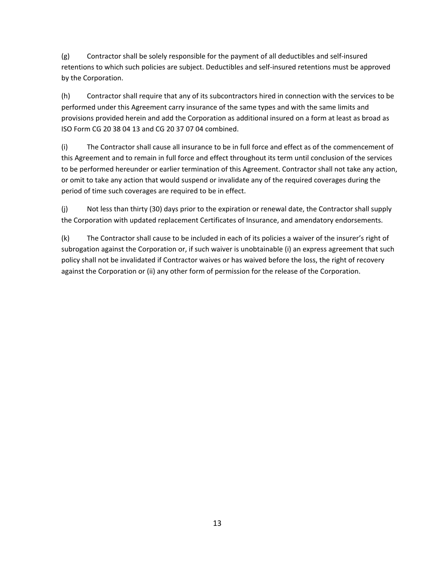(g) Contractor shall be solely responsible for the payment of all deductibles and self‐insured retentions to which such policies are subject. Deductibles and self‐insured retentions must be approved by the Corporation.

(h) Contractor shall require that any of its subcontractors hired in connection with the services to be performed under this Agreement carry insurance of the same types and with the same limits and provisions provided herein and add the Corporation as additional insured on a form at least as broad as ISO Form CG 20 38 04 13 and CG 20 37 07 04 combined.

(i) The Contractor shall cause all insurance to be in full force and effect as of the commencement of this Agreement and to remain in full force and effect throughout its term until conclusion of the services to be performed hereunder or earlier termination of this Agreement. Contractor shall not take any action, or omit to take any action that would suspend or invalidate any of the required coverages during the period of time such coverages are required to be in effect.

(j) Not less than thirty (30) days prior to the expiration or renewal date, the Contractor shall supply the Corporation with updated replacement Certificates of Insurance, and amendatory endorsements.

(k) The Contractor shall cause to be included in each of its policies a waiver of the insurer's right of subrogation against the Corporation or, if such waiver is unobtainable (i) an express agreement that such policy shall not be invalidated if Contractor waives or has waived before the loss, the right of recovery against the Corporation or (ii) any other form of permission for the release of the Corporation.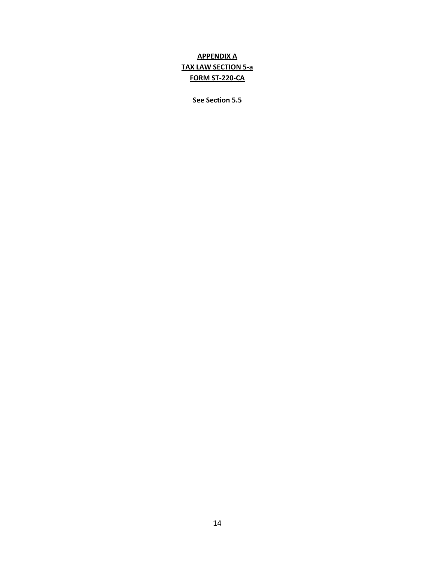# **APPENDIX A TAX LAW SECTION 5‐a FORM ST‐220‐CA**

**See Section 5.5**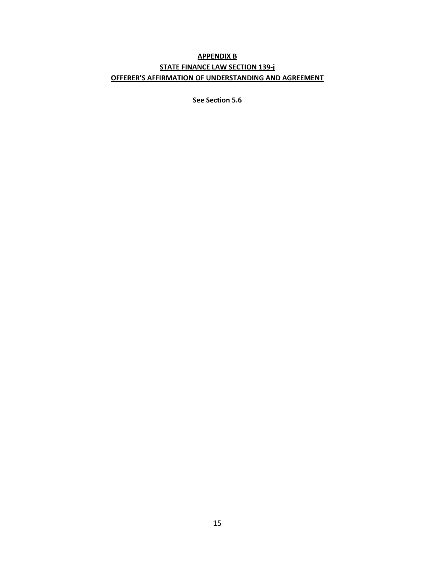# **APPENDIX B STATE FINANCE LAW SECTION 139‐j OFFERER'S AFFIRMATION OF UNDERSTANDING AND AGREEMENT**

**See Section 5.6**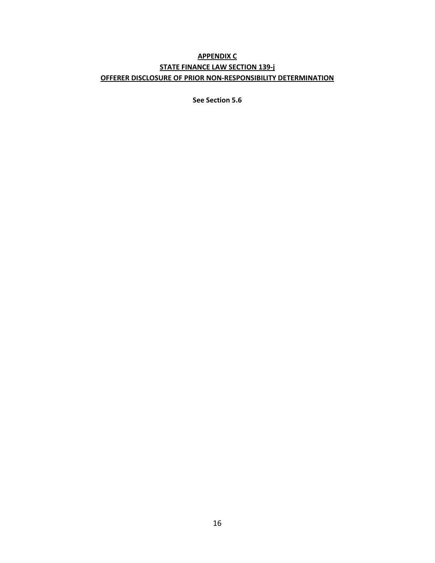# **APPENDIX C STATE FINANCE LAW SECTION 139‐j OFFERER DISCLOSURE OF PRIOR NON‐RESPONSIBILITY DETERMINATION**

**See Section 5.6**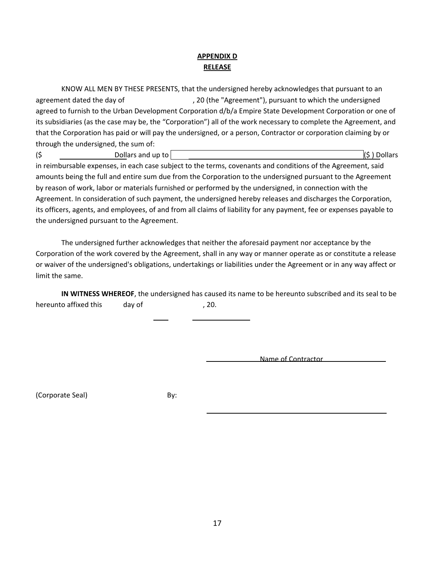# **APPENDIX D RELEASE**

KNOW ALL MEN BY THESE PRESENTS, that the undersigned hereby acknowledges that pursuant to an agreement dated the day of  $1/20$  (the "Agreement"), pursuant to which the undersigned agreed to furnish to the Urban Development Corporation d/b/a Empire State Development Corporation or one of its subsidiaries (as the case may be, the "Corporation") all of the work necessary to complete the Agreement, and that the Corporation has paid or will pay the undersigned, or a person, Contractor or corporation claiming by or through the undersigned, the sum of:

 $\left(\xi\right)$  Dollars and up to  $\left|\xi\right\rangle$  Dollars ( $\xi$ ) Dollars in reimbursable expenses, in each case subject to the terms, covenants and conditions of the Agreement, said

amounts being the full and entire sum due from the Corporation to the undersigned pursuant to the Agreement by reason of work, labor or materials furnished or performed by the undersigned, in connection with the Agreement. In consideration of such payment, the undersigned hereby releases and discharges the Corporation, its officers, agents, and employees, of and from all claims of liability for any payment, fee or expenses payable to the undersigned pursuant to the Agreement.

The undersigned further acknowledges that neither the aforesaid payment nor acceptance by the Corporation of the work covered by the Agreement, shall in any way or manner operate as or constitute a release or waiver of the undersigned's obligations, undertakings or liabilities under the Agreement or in any way affect or limit the same.

**IN WITNESS WHEREOF**, the undersigned has caused its name to be hereunto subscribed and its seal to be hereunto affixed this day of  $\qquad \qquad$ , 20.

Name of Contractor

(Corporate Seal) By: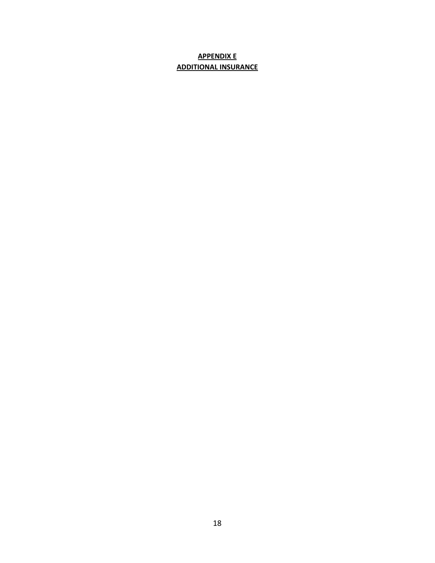# **APPENDIX E ADDITIONAL INSURANCE**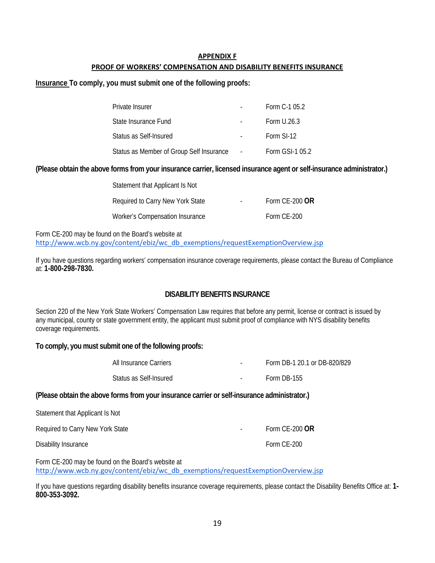### **APPENDIX F PROOF OF WORKERS' COMPENSATION AND DISABILITY BENEFITS INSURANCE**

**Insurance To comply, you must submit one of the following proofs:** 

| Private Insurer                          |        | Form C-1 05.2   |
|------------------------------------------|--------|-----------------|
| State Insurance Fund                     |        | Form U.26.3     |
| Status as Self-Insured                   |        | Form SI-12      |
| Status as Member of Group Self Insurance | $\sim$ | Form GSI-1 05.2 |

### **(Please obtain the above forms from your insurance carrier, licensed insurance agent or self-insurance administrator.)**

| Statement that Applicant Is Not  |                  |
|----------------------------------|------------------|
| Required to Carry New York State | Form $CE-200$ OR |
| Worker's Compensation Insurance  | Form CE-200      |

Form CE-200 may be found on the Board's website at http://www.wcb.ny.gov/content/ebiz/wc\_db\_exemptions/requestExemptionOverview.jsp

If you have questions regarding workers' compensation insurance coverage requirements, please contact the Bureau of Compliance at: **1-800-298-7830.**

# **DISABILITY BENEFITS INSURANCE**

Section 220 of the New York State Workers' Compensation Law requires that before any permit, license or contract is issued by any municipal, county or state government entity, the applicant must submit proof of compliance with NYS disability benefits coverage requirements.

### **To comply, you must submit one of the following proofs:**

| All Insurance Carriers   | $\sim$ | Form DB-1 20.1 or DB-820/829 |
|--------------------------|--------|------------------------------|
| - Status as Self-Insured |        | Form DB-155                  |

#### **(Please obtain the above forms from your insurance carrier or self-insurance administrator.)**

| Statement that Applicant Is Not  |        |                |
|----------------------------------|--------|----------------|
| Required to Carry New York State | $\sim$ | Form CE-200 OR |
| Disability Insurance             |        | Form CE-200    |

Form CE-200 may be found on the Board's website at http://www.wcb.ny.gov/content/ebiz/wc\_db\_exemptions/requestExemptionOverview.jsp

If you have questions regarding disability benefits insurance coverage requirements, please contact the Disability Benefits Office at: **1- 800-353-3092.**